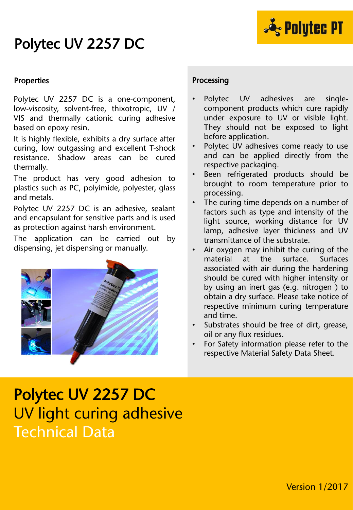### Polytec UV 2257 DC



#### **Properties**

Polytec UV 2257 DC is a one-component, low-viscosity, solvent-free, thixotropic, UV / VIS and thermally cationic curing adhesive based on epoxy resin.

It is highly flexible, exhibits a dry surface after curing, low outgassing and excellent T-shock resistance. Shadow areas can be cured thermally.

The product has very good adhesion to plastics such as PC, polyimide, polyester, glass and metals.

Polytec UV 2257 DC is an adhesive, sealant and encapsulant for sensitive parts and is used as protection against harsh environment.

The application can be carried out by dispensing, jet dispensing or manually.



#### Processing

- Polytec UV adhesives are singlecomponent products which cure rapidly under exposure to UV or visible light. They should not be exposed to light before application.
- Polytec UV adhesives come ready to use and can be applied directly from the respective packaging.
- Been refrigerated products should be brought to room temperature prior to processing.
- The curing time depends on a number of factors such as type and intensity of the light source, working distance for UV lamp, adhesive layer thickness and UV transmittance of the substrate.
- Air oxygen may inhibit the curing of the material at the surface. Surfaces associated with air during the hardening should be cured with higher intensity or by using an inert gas (e.g. nitrogen ) to obtain a dry surface. Please take notice of respective minimum curing temperature and time.
- Substrates should be free of dirt, grease, oil or any flux residues.
- For Safety information please refer to the respective Material Safety Data Sheet.

# Polytec UV 2257 DC UV light curing adhesive Technical Data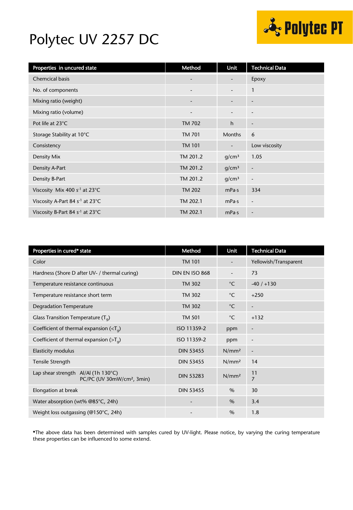#### Polytec UV 2257 DC



| Properties in uncured state                 | Method                   | <b>Unit</b>              | <b>Technical Data</b>    |
|---------------------------------------------|--------------------------|--------------------------|--------------------------|
| <b>Chemcical basis</b>                      |                          | -                        | Epoxy                    |
| No. of components                           | $\overline{\phantom{a}}$ | $\overline{\phantom{0}}$ | $\mathbf{1}$             |
| Mixing ratio (weight)                       |                          | -                        | $\overline{\phantom{a}}$ |
| Mixing ratio (volume)                       | $\overline{\phantom{a}}$ | -                        | $\overline{\phantom{a}}$ |
| Pot life at 23°C                            | <b>TM 702</b>            | h                        | $\overline{\phantom{a}}$ |
| Storage Stability at 10°C                   | <b>TM 701</b>            | <b>Months</b>            | 6                        |
| Consistency                                 | <b>TM 101</b>            | $\overline{\phantom{a}}$ | Low viscosity            |
| Density Mix                                 | TM 201.2                 | q/cm <sup>3</sup>        | 1.05                     |
| Density A-Part                              | TM 201.2                 | g/cm <sup>3</sup>        | $\overline{\phantom{a}}$ |
| Density B-Part                              | TM 201.2                 | g/cm <sup>3</sup>        | $\overline{\phantom{a}}$ |
| Viscosity Mix 400 s <sup>-1</sup> at 23°C   | <b>TM 202</b>            | mPa·s                    | 334                      |
| Viscosity A-Part 84 s <sup>-1</sup> at 23°C | TM 202.1                 | mPa·s                    | $\overline{\phantom{a}}$ |
| Viscosity B-Part 84 s <sup>-1</sup> at 23°C | TM 202.1                 | mPa·s                    | $\overline{\phantom{a}}$ |

| Properties in cured* state           |                                                            | Method           | <b>Unit</b>              | <b>Technical Data</b>    |
|--------------------------------------|------------------------------------------------------------|------------------|--------------------------|--------------------------|
| Color                                |                                                            | <b>TM 101</b>    |                          | Yellowish/Transparent    |
|                                      | Hardness (Shore D after UV- / thermal curing)              | DIN EN ISO 868   | $\overline{\phantom{a}}$ | 73                       |
| Temperature resistance continuous    |                                                            | <b>TM 302</b>    | $^{\circ}$ C             | $-40/ +130$              |
| Temperature resistance short term    |                                                            | <b>TM 302</b>    | $^{\circ}$ C             | $+250$                   |
| <b>Degradation Temperature</b>       |                                                            | <b>TM 302</b>    | $^{\circ}$ C             | $\blacksquare$           |
| Glass Transition Temperature $(T_q)$ |                                                            | <b>TM 501</b>    | $^{\circ}$ C             | $+132$                   |
|                                      | Coefficient of thermal expansion ( $\langle T_{q} \rangle$ | ISO 11359-2      | ppm                      | $\overline{\phantom{a}}$ |
|                                      | Coefficient of thermal expansion ( $\overline{Z}_q$ )      | ISO 11359-2      | ppm                      | -                        |
| Elasticity modulus                   |                                                            | <b>DIN 53455</b> | N/mm <sup>2</sup>        | $\overline{\phantom{a}}$ |
| Tensile Strength                     |                                                            | <b>DIN 53455</b> | N/mm <sup>2</sup>        | 14                       |
| Lap shear strength Al/Al (1h 130°C)  | PC/PC (UV 30mW/cm <sup>2</sup> , 3min)                     | <b>DIN 53283</b> | N/mm <sup>2</sup>        | 11<br>$\overline{7}$     |
| Elongation at break                  |                                                            | <b>DIN 53455</b> | $\%$                     | 30                       |
| Water absorption (wt% @85°C, 24h)    |                                                            |                  | $\%$                     | 3.4                      |
|                                      | Weight loss outgassing (@150°C, 24h)                       |                  | $\%$                     | 1.8                      |

\*The above data has been determined with samples cured by UV-light. Please notice, by varying the curing temperature these properties can be influenced to some extend.